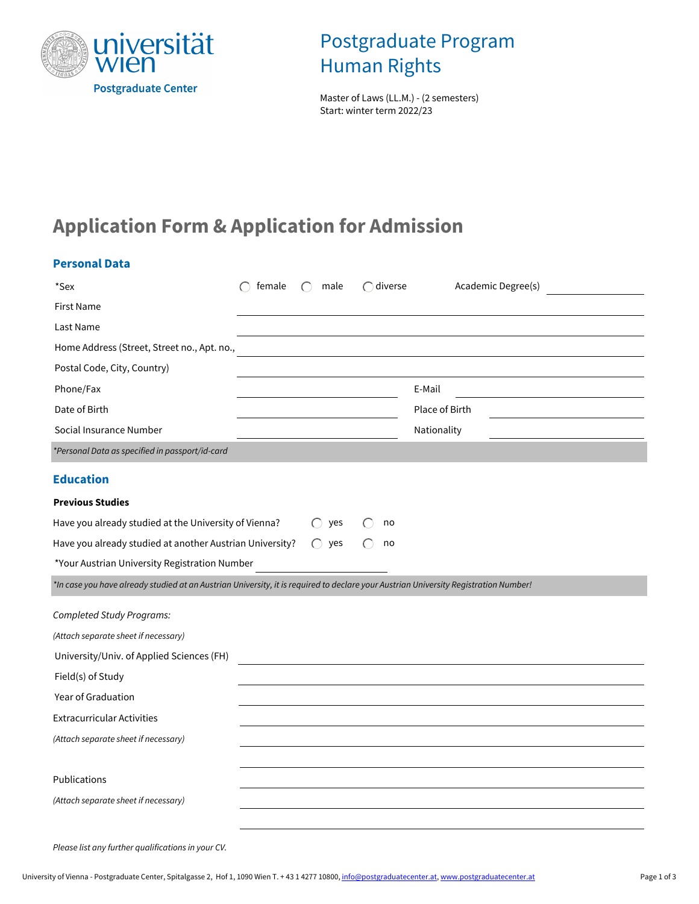

## Postgraduate Program Human Rights

 Master of Laws (LL.M.) - (2 semesters) Start: winter term 2022/23

# **Application Form & Application for Admission**

| <b>Personal Data</b>                                                                                                                 |        |                   |                   |                    |  |
|--------------------------------------------------------------------------------------------------------------------------------------|--------|-------------------|-------------------|--------------------|--|
| *Sex                                                                                                                                 | female | $\bigcap$<br>male | $\bigcap$ diverse | Academic Degree(s) |  |
| <b>First Name</b>                                                                                                                    |        |                   |                   |                    |  |
| Last Name                                                                                                                            |        |                   |                   |                    |  |
| Home Address (Street, Street no., Apt. no.,                                                                                          |        |                   |                   |                    |  |
| Postal Code, City, Country)                                                                                                          |        |                   |                   |                    |  |
| Phone/Fax                                                                                                                            |        |                   |                   | E-Mail             |  |
| Date of Birth                                                                                                                        |        |                   |                   | Place of Birth     |  |
| Social Insurance Number                                                                                                              |        |                   |                   | Nationality        |  |
| *Personal Data as specified in passport/id-card                                                                                      |        |                   |                   |                    |  |
| <b>Education</b>                                                                                                                     |        |                   |                   |                    |  |
| <b>Previous Studies</b>                                                                                                              |        |                   |                   |                    |  |
| Have you already studied at the University of Vienna?                                                                                |        | yes               | no                |                    |  |
| Have you already studied at another Austrian University?                                                                             |        | $\bigcirc$<br>yes | no                |                    |  |
| *Your Austrian University Registration Number                                                                                        |        |                   |                   |                    |  |
| *In case you have already studied at an Austrian University, it is required to declare your Austrian University Registration Number! |        |                   |                   |                    |  |
| <b>Completed Study Programs:</b>                                                                                                     |        |                   |                   |                    |  |
| (Attach separate sheet if necessary)                                                                                                 |        |                   |                   |                    |  |
| University/Univ. of Applied Sciences (FH)                                                                                            |        |                   |                   |                    |  |
| Field(s) of Study                                                                                                                    |        |                   |                   |                    |  |
| Year of Graduation                                                                                                                   |        |                   |                   |                    |  |
| <b>Extracurricular Activities</b>                                                                                                    |        |                   |                   |                    |  |
| (Attach separate sheet if necessary)                                                                                                 |        |                   |                   |                    |  |
|                                                                                                                                      |        |                   |                   |                    |  |
| Publications                                                                                                                         |        |                   |                   |                    |  |
| (Attach separate sheet if necessary)                                                                                                 |        |                   |                   |                    |  |
|                                                                                                                                      |        |                   |                   |                    |  |
| Please list any further qualifications in your CV.                                                                                   |        |                   |                   |                    |  |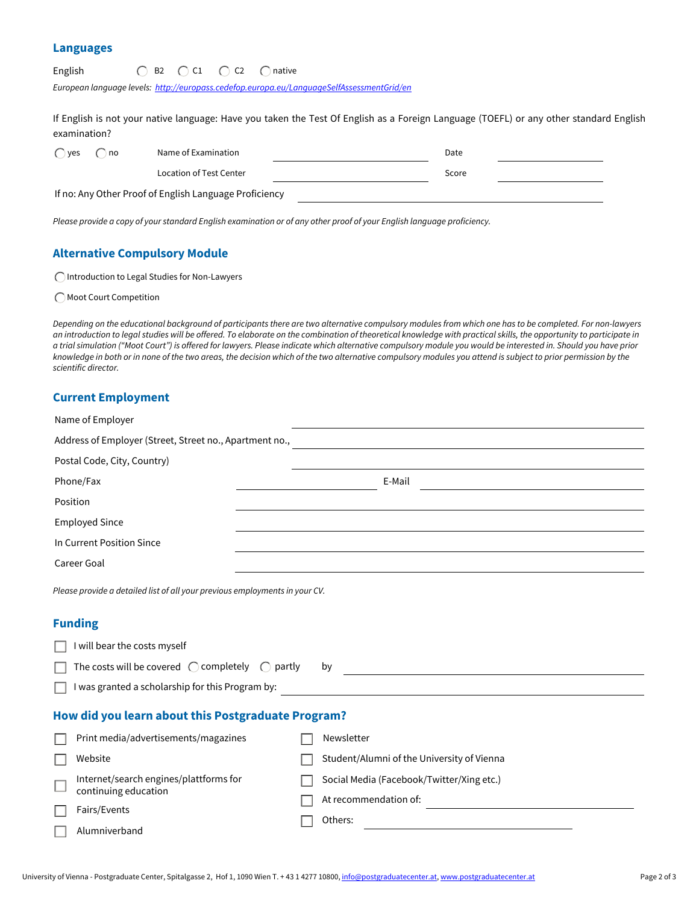#### **Languages**

| $\bigcirc$ B2 $\bigcirc$ C1 $\bigcirc$ C2 $\bigcirc$ native | English |  |  |  |  |
|-------------------------------------------------------------|---------|--|--|--|--|
|-------------------------------------------------------------|---------|--|--|--|--|

*European language levels: <http://europass.cedefop.europa.eu/LanguageSelfAssessmentGrid/en>*

If English is not your native language: Have you taken the Test Of English as a Foreign Language (TOEFL) or any other standard English examination?

| $\bigcap$ yes | no | Name of Examination                                    | Date  |  |
|---------------|----|--------------------------------------------------------|-------|--|
|               |    | Location of Test Center                                | Score |  |
|               |    | If no: Any Other Proof of English Language Proficiency |       |  |

*Please provide a copy of your standard English examination or of any other proof of your English language proficiency.*

### **Alternative Compulsory Module**

Introduction to Legal Studies for Non-Lawyers

Moot Court Competition

*Depending on the educational background of participants there are two alternative compulsory modules from which one has to be completed. For non-lawyers an introduction to legal studies will be offered. To elaborate on the combination of theoretical knowledge with practical skills, the opportunity to participate in a trial simulation ("Moot Court") is offered for lawyers. Please indicate which alternative compulsory module you would be interested in. Should you have prior knowledge in both or in none of the two areas, the decision which of the two alternative compulsory modules you attend is subject to prior permission by the scientific director.* 

#### **Current Employment**

| Name of Employer                                                            |                                            |  |  |  |
|-----------------------------------------------------------------------------|--------------------------------------------|--|--|--|
| Address of Employer (Street, Street no., Apartment no.,                     |                                            |  |  |  |
| Postal Code, City, Country)                                                 |                                            |  |  |  |
| Phone/Fax                                                                   | E-Mail                                     |  |  |  |
| Position                                                                    |                                            |  |  |  |
| <b>Employed Since</b>                                                       |                                            |  |  |  |
| In Current Position Since                                                   |                                            |  |  |  |
| Career Goal                                                                 |                                            |  |  |  |
| Please provide a detailed list of all your previous employments in your CV. |                                            |  |  |  |
| <b>Funding</b>                                                              |                                            |  |  |  |
| I will bear the costs myself                                                |                                            |  |  |  |
| The costs will be covered $\bigcirc$ completely $\bigcirc$ partly<br>by     |                                            |  |  |  |
| I was granted a scholarship for this Program by:                            |                                            |  |  |  |
| How did you learn about this Postgraduate Program?                          |                                            |  |  |  |
| Print media/advertisements/magazines                                        | Newsletter                                 |  |  |  |
| Website                                                                     | Student/Alumni of the University of Vienna |  |  |  |
| Internet/search engines/plattforms for<br>continuing education              | Social Media (Facebook/Twitter/Xing etc.)  |  |  |  |
| Fairs/Events                                                                | At recommendation of:                      |  |  |  |
| Alumniverband                                                               | Others:                                    |  |  |  |